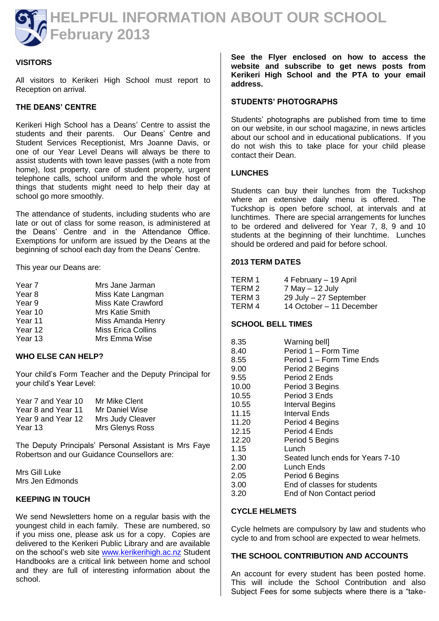

# **VISITORS**

All visitors to Kerikeri High School must report to Reception on arrival.

# **THE DEANS' CENTRE**

Kerikeri High School has a Deans' Centre to assist the students and their parents. Our Deans' Centre and Student Services Receptionist, Mrs Joanne Davis, or one of our Year Level Deans will always be there to assist students with town leave passes (with a note from home), lost property, care of student property, urgent telephone calls, school uniform and the whole host of things that students might need to help their day at school go more smoothly.

The attendance of students, including students who are late or out of class for some reason, is administered at the Deans' Centre and in the Attendance Office. Exemptions for uniform are issued by the Deans at the beginning of school each day from the Deans' Centre.

This year our Deans are:

| Mrs Jane Jarman    |
|--------------------|
| Miss Kate Langman  |
| Miss Kate Crawford |
| Mrs Katie Smith    |
| Miss Amanda Henry  |
| Miss Erica Collins |
| Mrs Emma Wise      |
|                    |

## **WHO ELSE CAN HELP?**

Your child's Form Teacher and the Deputy Principal for your child's Year Level:

| Mr Mike Clent    |
|------------------|
| Mr Daniel Wise   |
| Mrs Judy Cleaver |
| Mrs Glenys Ross  |
|                  |

The Deputy Principals' Personal Assistant is Mrs Faye Robertson and our Guidance Counsellors are:

Mrs Gill Luke Mrs Jen Edmonds

### **KEEPING IN TOUCH**

We send Newsletters home on a regular basis with the youngest child in each family. These are numbered, so if you miss one, please ask us for a copy. Copies are delivered to the Kerikeri Public Library and are available on the school's web site [www.kerikerihigh.ac.nz](http://www.kerikerihigh.ac.nz/) Student Handbooks are a critical link between home and school and they are full of interesting information about the school.

**See the Flyer enclosed on how to access the website and subscribe to get news posts from Kerikeri High School and the PTA to your email address.**

#### **STUDENTS' PHOTOGRAPHS**

Students' photographs are published from time to time on our website, in our school magazine, in news articles about our school and in educational publications. If you do not wish this to take place for your child please contact their Dean.

#### **LUNCHES**

Students can buy their lunches from the Tuckshop where an extensive daily menu is offered. The Tuckshop is open before school, at intervals and at lunchtimes. There are special arrangements for lunches to be ordered and delivered for Year 7, 8, 9 and 10 students at the beginning of their lunchtime. Lunches should be ordered and paid for before school.

#### **2013 TERM DATES**

| TERM 1 | 4 February - 19 April    |
|--------|--------------------------|
| TERM 2 | $7$ May $-$ 12 July      |
| TERM 3 | 29 July - 27 September   |
| TERM 4 | 14 October - 11 December |

### **SCHOOL BELL TIMES**

| 8.35  | Warning bell]                    |
|-------|----------------------------------|
| 8.40  | Period 1 – Form Time             |
| 8.55  | Period 1 - Form Time Ends        |
| 9.00  | Period 2 Begins                  |
| 9.55  | Period 2 Ends                    |
| 10.00 | Period 3 Begins                  |
| 10.55 | Period 3 Ends                    |
| 10.55 | <b>Interval Begins</b>           |
| 11.15 | Interval Ends                    |
| 11.20 | Period 4 Begins                  |
| 12.15 | Period 4 Ends                    |
| 12.20 | Period 5 Begins                  |
| 1.15  | Lunch                            |
| 1.30  | Seated lunch ends for Years 7-10 |
| 2.00  | Lunch Ends                       |
| 2.05  | Period 6 Begins                  |
| 3.00  | End of classes for students      |
| 3.20  | End of Non Contact period        |

### **CYCLE HELMETS**

Cycle helmets are compulsory by law and students who cycle to and from school are expected to wear helmets.

### **THE SCHOOL CONTRIBUTION AND ACCOUNTS**

An account for every student has been posted home. This will include the School Contribution and also Subject Fees for some subjects where there is a "take